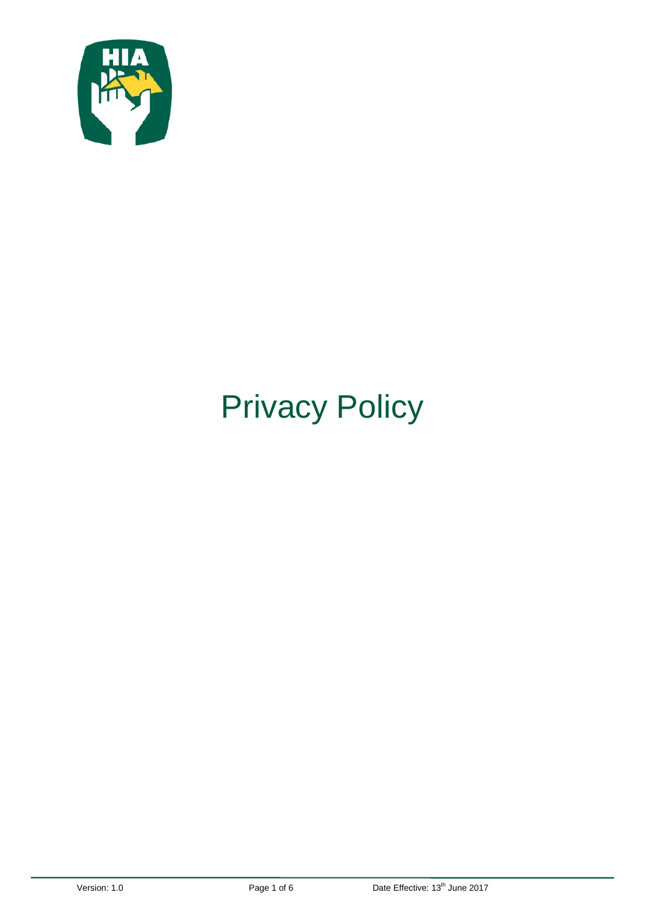

# Privacy Policy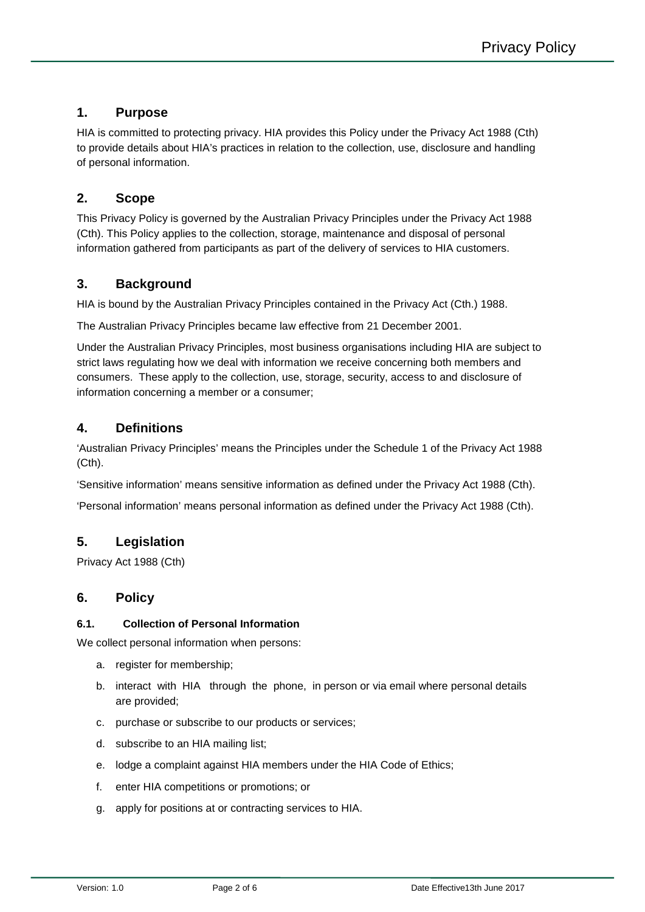## **1. Purpose**

HIA is committed to protecting privacy. HIA provides this Policy under the Privacy Act 1988 (Cth) to provide details about HIA's practices in relation to the collection, use, disclosure and handling of personal information.

## **2. Scope**

This Privacy Policy is governed by the Australian Privacy Principles under the Privacy Act 1988 (Cth). This Policy applies to the collection, storage, maintenance and disposal of personal information gathered from participants as part of the delivery of services to HIA customers.

## **3. Background**

HIA is bound by the Australian [Privacy Principles](http://www.privacy.gov.au/materials/types/infosheets/view/6583) contained in the [Privacy Act \(Cth.\) 1988.](http://www.austlii.edu.au/au/legis/cth/consol_act/pa1988108/)

The Australian Privacy Principles became law effective from 21 December 2001.

Under the Australian Privacy Principles, most business organisations including HIA are subject to strict laws regulating how we deal with information we receive concerning both members and consumers. These apply to the collection, use, storage, security, access to and disclosure of information concerning a member or a consumer;

# **4. Definitions**

'Australian Privacy Principles' means the Principles under the Schedule 1 of the Privacy Act 1988 (Cth).

'Sensitive information' means sensitive information as defined under the Privacy Act 1988 (Cth).

'Personal information' means personal information as defined under the Privacy Act 1988 (Cth).

# **5. Legislation**

Privacy Act 1988 (Cth)

## **6. Policy**

## **6.1. Collection of Personal Information**

We collect personal information when persons:

- a. register for membership;
- b. interact with HIA through the phone, in person or via email where personal details are provided;
- c. purchase or subscribe to our products or services;
- d. subscribe to an HIA mailing list;
- e. lodge a complaint against HIA members under the HIA Code of Ethics;
- f. enter HIA competitions or promotions; or
- g. apply for positions at or contracting services to HIA.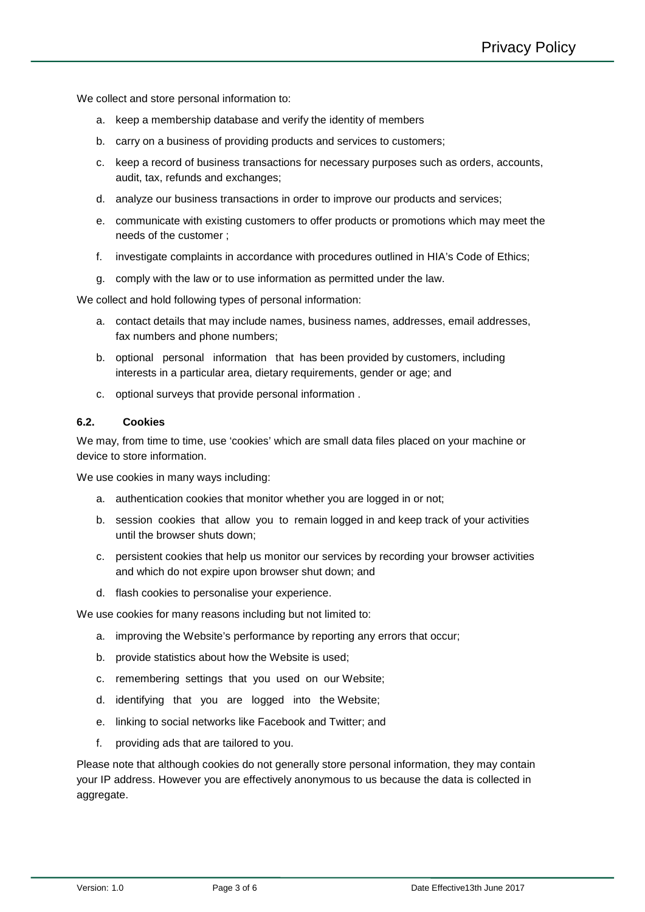We collect and store personal information to:

- a. keep a membership database and verify the identity of members
- b. carry on a business of providing products and services to customers;
- c. keep a record of business transactions for necessary purposes such as orders, accounts, audit, tax, refunds and exchanges;
- d. analyze our business transactions in order to improve our products and services;
- e. communicate with existing customers to offer products or promotions which may meet the needs of the customer ;
- f. investigate complaints in accordance with procedures outlined in HIA's Code of Ethics;
- g. comply with the law or to use information as permitted under the law.

We collect and hold following types of personal information:

- a. contact details that may include names, business names, addresses, email addresses, fax numbers and phone numbers;
- b. optional personal information that has been provided by customers, including interests in a particular area, dietary requirements, gender or age; and
- c. optional surveys that provide personal information .

#### **6.2. Cookies**

We may, from time to time, use 'cookies' which are small data files placed on your machine or device to store information.

We use cookies in many ways including:

- a. authentication cookies that monitor whether you are logged in or not;
- b. session cookies that allow you to remain logged in and keep track of your activities until the browser shuts down;
- c. persistent cookies that help us monitor our services by recording your browser activities and which do not expire upon browser shut down; and
- d. flash cookies to personalise your experience.

We use cookies for many reasons including but not limited to:

- a. improving the Website's performance by reporting any errors that occur;
- b. provide statistics about how the Website is used;
- c. remembering settings that you used on our Website;
- d. identifying that you are logged into the Website;
- e. linking to social networks like Facebook and Twitter; and
- f. providing ads that are tailored to you.

Please note that although cookies do not generally store personal information, they may contain your IP address. However you are effectively anonymous to us because the data is collected in aggregate.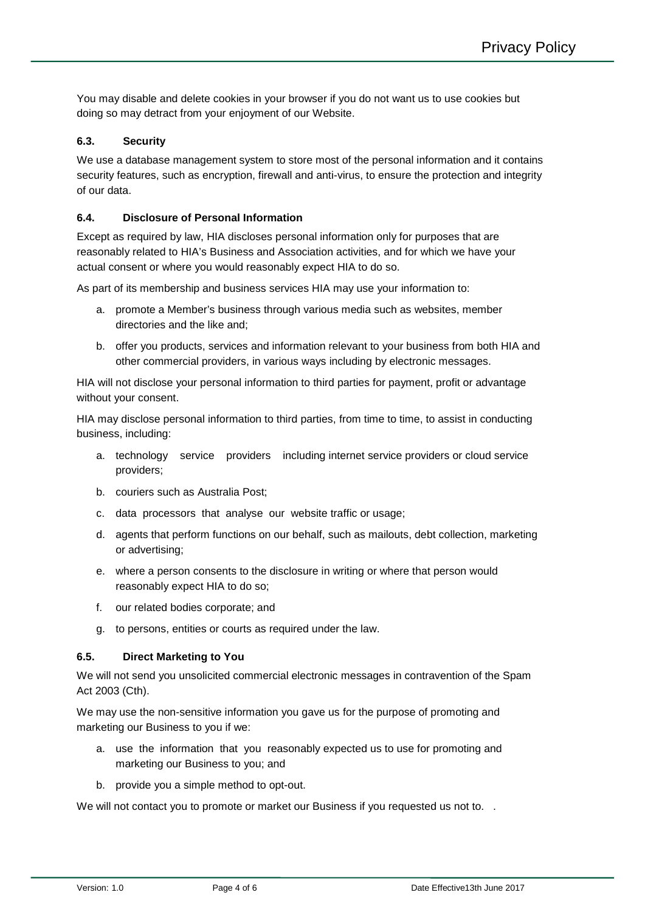You may disable and delete cookies in your browser if you do not want us to use cookies but doing so may detract from your enjoyment of our Website.

## **6.3. Security**

We use a database management system to store most of the personal information and it contains security features, such as encryption, firewall and anti-virus, to ensure the protection and integrity of our data.

## **6.4. Disclosure of Personal Information**

Except as required by law, HIA discloses personal information only for purposes that are reasonably related to HIA's Business and Association activities, and for which we have your actual consent or where you would reasonably expect HIA to do so.

As part of its membership and business services HIA may use your information to:

- a. promote a Member's business through various media such as websites, member directories and the like and;
- b. offer you products, services and information relevant to your business from both HIA and other commercial providers, in various ways including by electronic messages.

HIA will not disclose your personal information to third parties for payment, profit or advantage without your consent.

HIA may disclose personal information to third parties, from time to time, to assist in conducting business, including:

- a. technology service providers including internet service providers or cloud service providers;
- b. couriers such as Australia Post;
- c. data processors that analyse our website traffic or usage;
- d. agents that perform functions on our behalf, such as mailouts, debt collection, marketing or advertising;
- e. where a person consents to the disclosure in writing or where that person would reasonably expect HIA to do so;
- f. our related bodies corporate; and
- g. to persons, entities or courts as required under the law.

## **6.5. Direct Marketing to You**

We will not send you unsolicited commercial electronic messages in contravention of the Spam Act 2003 (Cth).

We may use the non-sensitive information you gave us for the purpose of promoting and marketing our Business to you if we:

- a. use the information that you reasonably expected us to use for promoting and marketing our Business to you; and
- b. provide you a simple method to opt-out.

We will not contact you to promote or market our Business if you requested us not to. .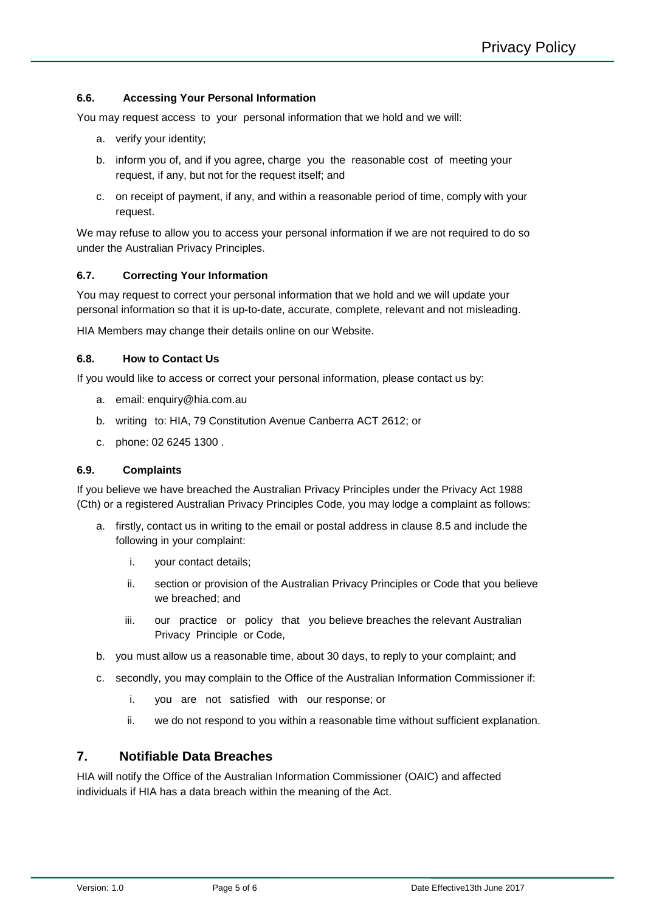#### **6.6. Accessing Your Personal Information**

You may request access to your personal information that we hold and we will:

- a. verify your identity;
- b. inform you of, and if you agree, charge you the reasonable cost of meeting your request, if any, but not for the request itself; and
- c. on receipt of payment, if any, and within a reasonable period of time, comply with your request.

We may refuse to allow you to access your personal information if we are not required to do so under the Australian Privacy Principles.

#### **6.7. Correcting Your Information**

You may request to correct your personal information that we hold and we will update your personal information so that it is up-to-date, accurate, complete, relevant and not misleading.

HIA Members may change their details online on our Website.

#### **6.8. How to Contact Us**

If you would like to access or correct your personal information, please contact us by:

- a. email: enquiry@hia.com.au
- b. writing to: HIA, 79 Constitution Avenue Canberra ACT 2612; or
- c. phone: 02 6245 1300 .

#### **6.9. Complaints**

If you believe we have breached the Australian Privacy Principles under the Privacy Act 1988 (Cth) or a registered Australian Privacy Principles Code, you may lodge a complaint as follows:

- a. firstly, contact us in writing to the email or postal address in clause 8.5 and include the following in your complaint:
	- i. your contact details;
	- ii. section or provision of the Australian Privacy Principles or Code that you believe we breached; and
	- iii. our practice or policy that you believe breaches the relevant Australian Privacy Principle or Code,
- b. you must allow us a reasonable time, about 30 days, to reply to your complaint; and
- c. secondly, you may complain to the Office of the Australian Information Commissioner if:
	- i. you are not satisfied with our response; or
	- ii. we do not respond to you within a reasonable time without sufficient explanation.

## **7. Notifiable Data Breaches**

HIA will notify the Office of the Australian Information Commissioner (OAIC) and affected individuals if HIA has a data breach within the meaning of the Act.